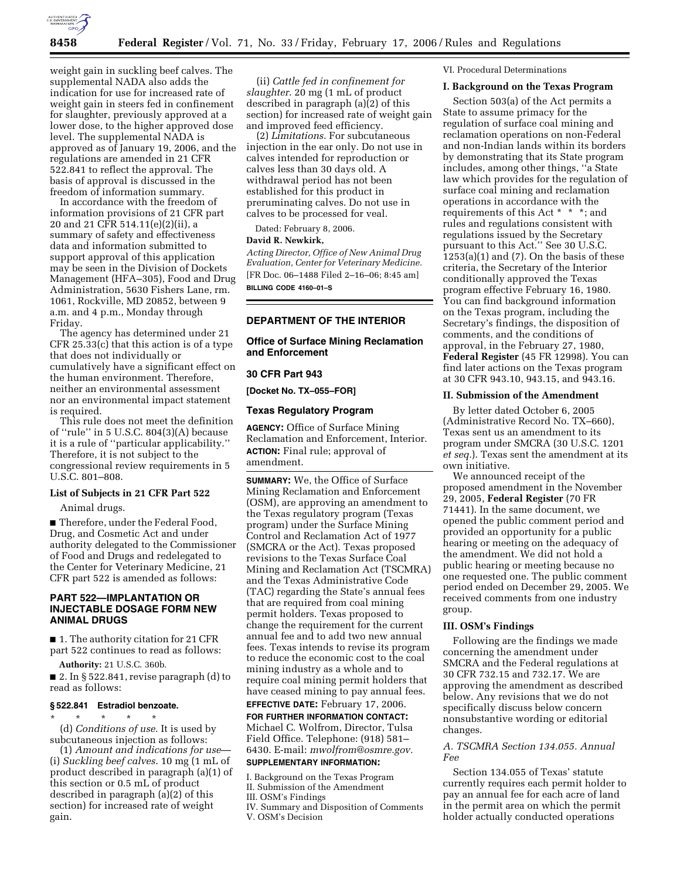

weight gain in suckling beef calves. The supplemental NADA also adds the indication for use for increased rate of weight gain in steers fed in confinement for slaughter, previously approved at a lower dose, to the higher approved dose level. The supplemental NADA is approved as of January 19, 2006, and the regulations are amended in 21 CFR 522.841 to reflect the approval. The basis of approval is discussed in the freedom of information summary.

In accordance with the freedom of information provisions of 21 CFR part 20 and 21 CFR 514.11(e)(2)(ii), a summary of safety and effectiveness data and information submitted to support approval of this application may be seen in the Division of Dockets Management (HFA–305), Food and Drug Administration, 5630 Fishers Lane, rm. 1061, Rockville, MD 20852, between 9 a.m. and 4 p.m., Monday through Friday.

The agency has determined under 21 CFR 25.33(c) that this action is of a type that does not individually or cumulatively have a significant effect on the human environment. Therefore, neither an environmental assessment nor an environmental impact statement is required.

This rule does not meet the definition of ''rule'' in 5 U.S.C. 804(3)(A) because it is a rule of ''particular applicability.'' Therefore, it is not subject to the congressional review requirements in 5 U.S.C. 801–808.

# **List of Subjects in 21 CFR Part 522**

Animal drugs.

■ Therefore, under the Federal Food, Drug, and Cosmetic Act and under authority delegated to the Commissioner of Food and Drugs and redelegated to the Center for Veterinary Medicine, 21 CFR part 522 is amended as follows:

# **PART 522—IMPLANTATION OR INJECTABLE DOSAGE FORM NEW ANIMAL DRUGS**

■ 1. The authority citation for 21 CFR part 522 continues to read as follows:

**Authority:** 21 U.S.C. 360b.

 $\blacksquare$  2. In § 522.841, revise paragraph (d) to read as follows:

# **§ 522.841 Estradiol benzoate.**

\* \* \* \* \* (d) *Conditions of use*. It is used by subcutaneous injection as follows:

(1) *Amount and indications for use*— (i) *Suckling beef calves*. 10 mg (1 mL of product described in paragraph (a)(1) of this section or 0.5 mL of product described in paragraph (a)(2) of this section) for increased rate of weight gain.

(ii) *Cattle fed in confinement for slaughter*. 20 mg (1 mL of product described in paragraph  $(a)(2)$  of this section) for increased rate of weight gain and improved feed efficiency.

(2) *Limitations*. For subcutaneous injection in the ear only. Do not use in calves intended for reproduction or calves less than 30 days old. A withdrawal period has not been established for this product in preruminating calves. Do not use in calves to be processed for veal.

Dated: February 8, 2006.

### **David R. Newkirk,**

*Acting Director, Office of New Animal Drug Evaluation, Center for Veterinary Medicine.*  [FR Doc. 06–1488 Filed 2–16–06; 8:45 am] **BILLING CODE 4160–01–S** 

# **DEPARTMENT OF THE INTERIOR**

**Office of Surface Mining Reclamation and Enforcement** 

# **30 CFR Part 943**

**[Docket No. TX–055–FOR]** 

# **Texas Regulatory Program**

**AGENCY:** Office of Surface Mining Reclamation and Enforcement, Interior. **ACTION:** Final rule; approval of amendment.

**SUMMARY:** We, the Office of Surface Mining Reclamation and Enforcement (OSM), are approving an amendment to the Texas regulatory program (Texas program) under the Surface Mining Control and Reclamation Act of 1977 (SMCRA or the Act). Texas proposed revisions to the Texas Surface Coal Mining and Reclamation Act (TSCMRA) and the Texas Administrative Code (TAC) regarding the State's annual fees that are required from coal mining permit holders. Texas proposed to change the requirement for the current annual fee and to add two new annual fees. Texas intends to revise its program to reduce the economic cost to the coal mining industry as a whole and to require coal mining permit holders that have ceased mining to pay annual fees.

# **EFFECTIVE DATE:** February 17, 2006.

**FOR FURTHER INFORMATION CONTACT:**  Michael C. Wolfrom, Director, Tulsa Field Office. Telephone: (918) 581– 6430. E-mail: *mwolfrom@osmre.gov.* 

# **SUPPLEMENTARY INFORMATION:**

I. Background on the Texas Program II. Submission of the Amendment

- 
- III. OSM's Findings
- IV. Summary and Disposition of Comments V. OSM's Decision

VI. Procedural Determinations

### **I. Background on the Texas Program**

Section 503(a) of the Act permits a State to assume primacy for the regulation of surface coal mining and reclamation operations on non-Federal and non-Indian lands within its borders by demonstrating that its State program includes, among other things, ''a State law which provides for the regulation of surface coal mining and reclamation operations in accordance with the requirements of this Act \* \* \*; and rules and regulations consistent with regulations issued by the Secretary pursuant to this Act.'' See 30 U.S.C.  $1253(a)(1)$  and  $(7)$ . On the basis of these criteria, the Secretary of the Interior conditionally approved the Texas program effective February 16, 1980. You can find background information on the Texas program, including the Secretary's findings, the disposition of comments, and the conditions of approval, in the February 27, 1980, **Federal Register** (45 FR 12998). You can find later actions on the Texas program at 30 CFR 943.10, 943.15, and 943.16.

# **II. Submission of the Amendment**

By letter dated October 6, 2005 (Administrative Record No. TX–660), Texas sent us an amendment to its program under SMCRA (30 U.S.C. 1201 *et seq.*). Texas sent the amendment at its own initiative.

We announced receipt of the proposed amendment in the November 29, 2005, **Federal Register** (70 FR 71441). In the same document, we opened the public comment period and provided an opportunity for a public hearing or meeting on the adequacy of the amendment. We did not hold a public hearing or meeting because no one requested one. The public comment period ended on December 29, 2005. We received comments from one industry group.

### **III. OSM's Findings**

Following are the findings we made concerning the amendment under SMCRA and the Federal regulations at 30 CFR 732.15 and 732.17. We are approving the amendment as described below. Any revisions that we do not specifically discuss below concern nonsubstantive wording or editorial changes.

# *A. TSCMRA Section 134.055. Annual Fee*

Section 134.055 of Texas' statute currently requires each permit holder to pay an annual fee for each acre of land in the permit area on which the permit holder actually conducted operations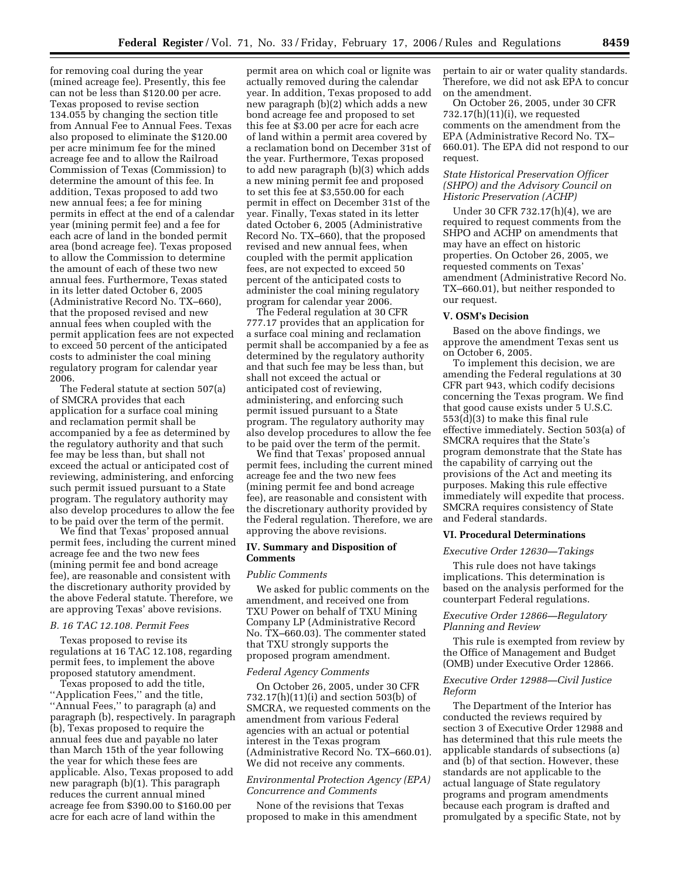for removing coal during the year (mined acreage fee). Presently, this fee can not be less than \$120.00 per acre. Texas proposed to revise section 134.055 by changing the section title from Annual Fee to Annual Fees. Texas also proposed to eliminate the \$120.00 per acre minimum fee for the mined acreage fee and to allow the Railroad Commission of Texas (Commission) to determine the amount of this fee. In addition, Texas proposed to add two new annual fees; a fee for mining permits in effect at the end of a calendar year (mining permit fee) and a fee for each acre of land in the bonded permit area (bond acreage fee). Texas proposed to allow the Commission to determine the amount of each of these two new annual fees. Furthermore, Texas stated in its letter dated October 6, 2005 (Administrative Record No. TX–660), that the proposed revised and new annual fees when coupled with the permit application fees are not expected to exceed 50 percent of the anticipated costs to administer the coal mining regulatory program for calendar year 2006.

The Federal statute at section 507(a) of SMCRA provides that each application for a surface coal mining and reclamation permit shall be accompanied by a fee as determined by the regulatory authority and that such fee may be less than, but shall not exceed the actual or anticipated cost of reviewing, administering, and enforcing such permit issued pursuant to a State program. The regulatory authority may also develop procedures to allow the fee to be paid over the term of the permit.

We find that Texas' proposed annual permit fees, including the current mined acreage fee and the two new fees (mining permit fee and bond acreage fee), are reasonable and consistent with the discretionary authority provided by the above Federal statute. Therefore, we are approving Texas' above revisions.

### *B. 16 TAC 12.108. Permit Fees*

Texas proposed to revise its regulations at 16 TAC 12.108, regarding permit fees, to implement the above proposed statutory amendment.

Texas proposed to add the title, ''Application Fees,'' and the title, ''Annual Fees,'' to paragraph (a) and paragraph (b), respectively. In paragraph (b), Texas proposed to require the annual fees due and payable no later than March 15th of the year following the year for which these fees are applicable. Also, Texas proposed to add new paragraph (b)(1). This paragraph reduces the current annual mined acreage fee from \$390.00 to \$160.00 per acre for each acre of land within the

permit area on which coal or lignite was actually removed during the calendar year. In addition, Texas proposed to add new paragraph (b)(2) which adds a new bond acreage fee and proposed to set this fee at \$3.00 per acre for each acre of land within a permit area covered by a reclamation bond on December 31st of the year. Furthermore, Texas proposed to add new paragraph (b)(3) which adds a new mining permit fee and proposed to set this fee at \$3,550.00 for each permit in effect on December 31st of the year. Finally, Texas stated in its letter dated October 6, 2005 (Administrative Record No. TX–660), that the proposed revised and new annual fees, when coupled with the permit application fees, are not expected to exceed 50 percent of the anticipated costs to administer the coal mining regulatory program for calendar year 2006.

The Federal regulation at 30 CFR 777.17 provides that an application for a surface coal mining and reclamation permit shall be accompanied by a fee as determined by the regulatory authority and that such fee may be less than, but shall not exceed the actual or anticipated cost of reviewing, administering, and enforcing such permit issued pursuant to a State program. The regulatory authority may also develop procedures to allow the fee to be paid over the term of the permit.

We find that Texas' proposed annual permit fees, including the current mined acreage fee and the two new fees (mining permit fee and bond acreage fee), are reasonable and consistent with the discretionary authority provided by the Federal regulation. Therefore, we are approving the above revisions.

# **IV. Summary and Disposition of Comments**

#### *Public Comments*

We asked for public comments on the amendment, and received one from TXU Power on behalf of TXU Mining Company LP (Administrative Record No. TX–660.03). The commenter stated that TXU strongly supports the proposed program amendment.

### *Federal Agency Comments*

On October 26, 2005, under 30 CFR 732.17(h)(11)(i) and section 503(b) of SMCRA, we requested comments on the amendment from various Federal agencies with an actual or potential interest in the Texas program (Administrative Record No. TX–660.01). We did not receive any comments.

# *Environmental Protection Agency (EPA) Concurrence and Comments*

None of the revisions that Texas proposed to make in this amendment pertain to air or water quality standards. Therefore, we did not ask EPA to concur on the amendment.

On October 26, 2005, under 30 CFR 732.17(h)(11)(i), we requested comments on the amendment from the EPA (Administrative Record No. TX– 660.01). The EPA did not respond to our request.

# *State Historical Preservation Officer (SHPO) and the Advisory Council on Historic Preservation (ACHP)*

Under 30 CFR 732.17(h)(4), we are required to request comments from the SHPO and ACHP on amendments that may have an effect on historic properties. On October 26, 2005, we requested comments on Texas' amendment (Administrative Record No. TX–660.01), but neither responded to our request.

### **V. OSM's Decision**

Based on the above findings, we approve the amendment Texas sent us on October 6, 2005.

To implement this decision, we are amending the Federal regulations at 30 CFR part 943, which codify decisions concerning the Texas program. We find that good cause exists under 5 U.S.C. 553(d)(3) to make this final rule effective immediately. Section 503(a) of SMCRA requires that the State's program demonstrate that the State has the capability of carrying out the provisions of the Act and meeting its purposes. Making this rule effective immediately will expedite that process. SMCRA requires consistency of State and Federal standards.

### **VI. Procedural Determinations**

#### *Executive Order 12630—Takings*

This rule does not have takings implications. This determination is based on the analysis performed for the counterpart Federal regulations.

### *Executive Order 12866—Regulatory Planning and Review*

This rule is exempted from review by the Office of Management and Budget (OMB) under Executive Order 12866.

### *Executive Order 12988—Civil Justice Reform*

The Department of the Interior has conducted the reviews required by section 3 of Executive Order 12988 and has determined that this rule meets the applicable standards of subsections (a) and (b) of that section. However, these standards are not applicable to the actual language of State regulatory programs and program amendments because each program is drafted and promulgated by a specific State, not by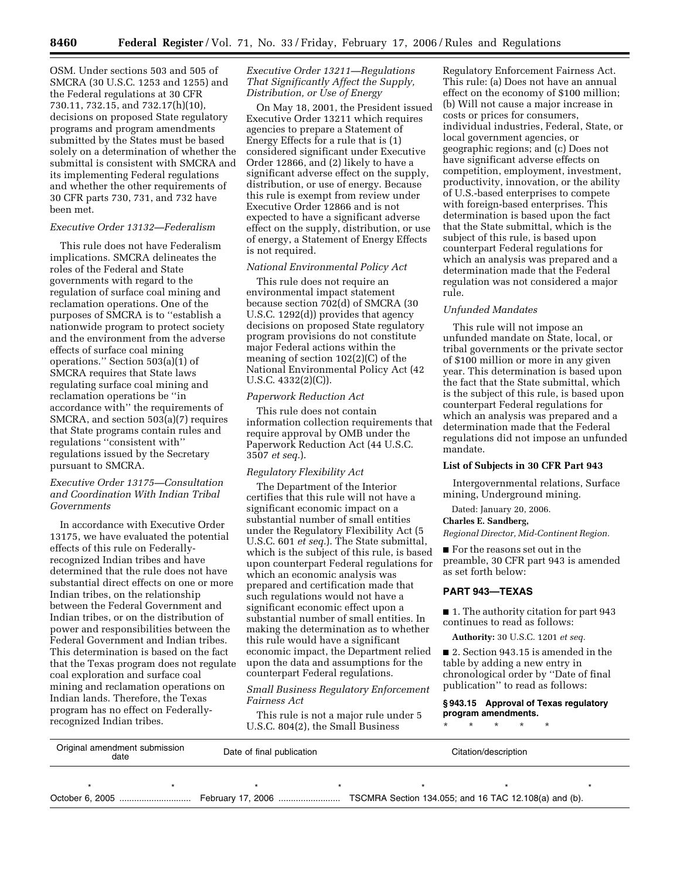OSM. Under sections 503 and 505 of SMCRA (30 U.S.C. 1253 and 1255) and the Federal regulations at 30 CFR 730.11, 732.15, and 732.17(h)(10), decisions on proposed State regulatory programs and program amendments submitted by the States must be based solely on a determination of whether the submittal is consistent with SMCRA and its implementing Federal regulations and whether the other requirements of 30 CFR parts 730, 731, and 732 have been met.

# *Executive Order 13132—Federalism*

This rule does not have Federalism implications. SMCRA delineates the roles of the Federal and State governments with regard to the regulation of surface coal mining and reclamation operations. One of the purposes of SMCRA is to ''establish a nationwide program to protect society and the environment from the adverse effects of surface coal mining operations." Section  $503(a)(1)$  of SMCRA requires that State laws regulating surface coal mining and reclamation operations be ''in accordance with'' the requirements of SMCRA, and section 503(a)(7) requires that State programs contain rules and regulations ''consistent with'' regulations issued by the Secretary pursuant to SMCRA.

# *Executive Order 13175—Consultation and Coordination With Indian Tribal Governments*

In accordance with Executive Order 13175, we have evaluated the potential effects of this rule on Federallyrecognized Indian tribes and have determined that the rule does not have substantial direct effects on one or more Indian tribes, on the relationship between the Federal Government and Indian tribes, or on the distribution of power and responsibilities between the Federal Government and Indian tribes. This determination is based on the fact that the Texas program does not regulate coal exploration and surface coal mining and reclamation operations on Indian lands. Therefore, the Texas program has no effect on Federallyrecognized Indian tribes.

# *Executive Order 13211—Regulations That Significantly Affect the Supply, Distribution, or Use of Energy*

On May 18, 2001, the President issued Executive Order 13211 which requires agencies to prepare a Statement of Energy Effects for a rule that is (1) considered significant under Executive Order 12866, and (2) likely to have a significant adverse effect on the supply, distribution, or use of energy. Because this rule is exempt from review under Executive Order 12866 and is not expected to have a significant adverse effect on the supply, distribution, or use of energy, a Statement of Energy Effects is not required.

# *National Environmental Policy Act*

This rule does not require an environmental impact statement because section 702(d) of SMCRA (30 U.S.C. 1292(d)) provides that agency decisions on proposed State regulatory program provisions do not constitute major Federal actions within the meaning of section 102(2)(C) of the National Environmental Policy Act (42 U.S.C. 4332(2)(C)).

### *Paperwork Reduction Act*

This rule does not contain information collection requirements that require approval by OMB under the Paperwork Reduction Act (44 U.S.C. 3507 *et seq.*).

### *Regulatory Flexibility Act*

The Department of the Interior certifies that this rule will not have a significant economic impact on a substantial number of small entities under the Regulatory Flexibility Act (5 U.S.C. 601 *et seq.*). The State submittal, which is the subject of this rule, is based upon counterpart Federal regulations for which an economic analysis was prepared and certification made that such regulations would not have a significant economic effect upon a substantial number of small entities. In making the determination as to whether this rule would have a significant economic impact, the Department relied upon the data and assumptions for the counterpart Federal regulations.

# *Small Business Regulatory Enforcement Fairness Act*

This rule is not a major rule under 5 U.S.C. 804(2), the Small Business

Regulatory Enforcement Fairness Act. This rule: (a) Does not have an annual effect on the economy of \$100 million; (b) Will not cause a major increase in costs or prices for consumers, individual industries, Federal, State, or local government agencies, or geographic regions; and (c) Does not have significant adverse effects on competition, employment, investment, productivity, innovation, or the ability of U.S.-based enterprises to compete with foreign-based enterprises. This determination is based upon the fact that the State submittal, which is the subject of this rule, is based upon counterpart Federal regulations for which an analysis was prepared and a determination made that the Federal regulation was not considered a major rule.

### *Unfunded Mandates*

This rule will not impose an unfunded mandate on State, local, or tribal governments or the private sector of \$100 million or more in any given year. This determination is based upon the fact that the State submittal, which is the subject of this rule, is based upon counterpart Federal regulations for which an analysis was prepared and a determination made that the Federal regulations did not impose an unfunded mandate.

### **List of Subjects in 30 CFR Part 943**

Intergovernmental relations, Surface mining, Underground mining.

Dated: January 20, 2006.

### **Charles E. Sandberg,**

*Regional Director, Mid-Continent Region.* 

■ For the reasons set out in the preamble, 30 CFR part 943 is amended as set forth below:

# **PART 943—TEXAS**

■ 1. The authority citation for part 943 continues to read as follows:

**Authority:** 30 U.S.C. 1201 *et seq.* 

■ 2. Section 943.15 is amended in the table by adding a new entry in chronological order by ''Date of final publication'' to read as follows:

# **§ 943.15 Approval of Texas regulatory program amendments.**

\* \* \* \* \*

| Original amendment submission<br>date |  | Date of final publication | Citation/description |  |  |  |
|---------------------------------------|--|---------------------------|----------------------|--|--|--|
|                                       |  |                           |                      |  |  |  |
|                                       |  |                           |                      |  |  |  |